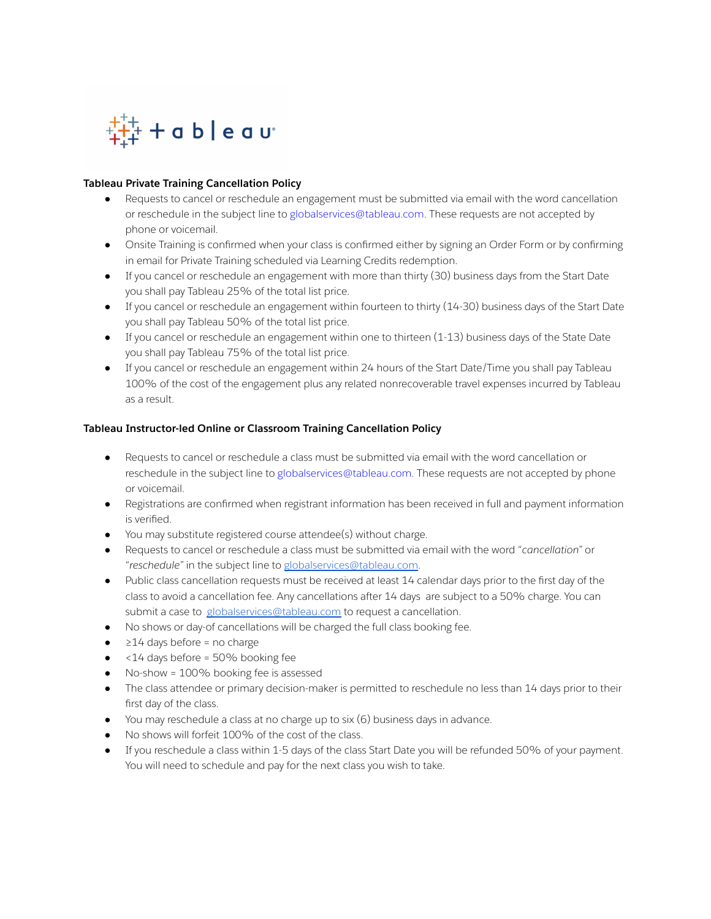

# **Tableau Private Training Cancellation Policy**

- Requests to cancel or reschedule an engagement must be submitted via email with the word cancellation or reschedule in the subject line to globalservices@tableau.com. These requests are not accepted by phone or voicemail.
- Onsite Training is confirmed when your class is confirmed either by signing an Order Form or by confirming in email for Private Training scheduled via Learning Credits redemption.
- If you cancel or reschedule an engagement with more than thirty (30) business days from the Start Date you shall pay Tableau 25% of the total list price.
- If you cancel or reschedule an engagement within fourteen to thirty (14-30) business days of the Start Date you shall pay Tableau 50% of the total list price.
- If you cancel or reschedule an engagement within one to thirteen (1-13) business days of the State Date you shall pay Tableau 75% of the total list price.
- If you cancel or reschedule an engagement within 24 hours of the Start Date/Time you shall pay Tableau 100% of the cost of the engagement plus any related nonrecoverable travel expenses incurred by Tableau as a result.

### **Tableau Instructor-led Online or Classroom Training Cancellation Policy**

- Requests to cancel or reschedule a class must be submitted via email with the word cancellation or reschedule in the subject line to globalservices@tableau.com. These requests are not accepted by phone or voicemail.
- Registrations are confirmed when registrant information has been received in full and payment information is verified.
- You may substitute registered course attendee(s) without charge.
- Requests to cancel or reschedule a class must be submitted via email with the word "*cancellation"* or "*reschedule"* in the subject line to [globalservices@tableau.com](mailto:globalservices@tableau.com).
- Public class cancellation requests must be received at least 14 calendar days prior to the first day of the class to avoid a cancellation fee. Any cancellations after 14 days are subject to a 50% charge. You can submit a case to [globalservices@tableau.com](mailto:globalservices@tableau.com) to request a cancellation.
- No shows or day-of cancellations will be charged the full class booking fee.
- $\bullet$   $\geq$  24 days before = no charge
- <14 days before = 50% booking fee
- No-show = 100% booking fee is assessed
- The class attendee or primary decision-maker is permitted to reschedule no less than 14 days prior to their first day of the class.
- You may reschedule a class at no charge up to six (6) business days in advance.
- No shows will forfeit 100% of the cost of the class.
- If you reschedule a class within 1-5 days of the class Start Date you will be refunded 50% of your payment. You will need to schedule and pay for the next class you wish to take.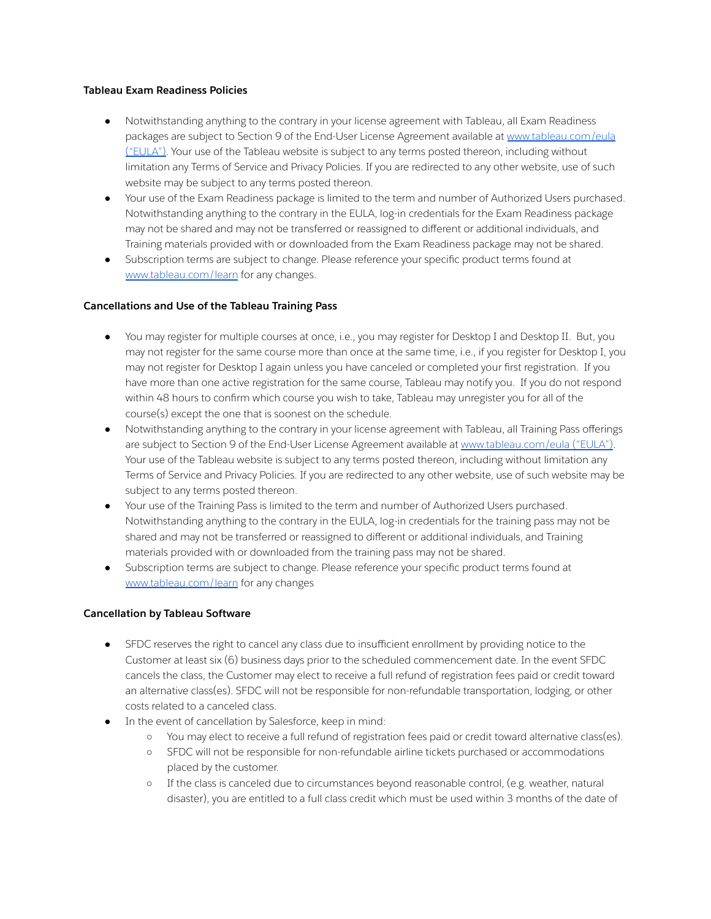### **Tableau Exam Readiness Policies**

- Notwithstanding anything to the contrary in your license agreement with Tableau, all Exam Readiness packages are subject to Section 9 of the End-User License Agreement available at [www.tableau.com/eula](http://www.tableau.com/eula)  $($ "EULA"). Your use of the Tableau website is subject to any terms posted thereon, including without limitation any Terms of Service and Privacy Policies. If you are redirected to any other website, use of such website may be subject to any terms posted thereon.
- Your use of the Exam Readiness package is limited to the term and number of Authorized Users purchased. Notwithstanding anything to the contrary in the EULA, log-in credentials for the Exam Readiness package may not be shared and may not be transferred or reassigned to different or additional individuals, and Training materials provided with or downloaded from the Exam Readiness package may not be shared.
- Subscription terms are subject to change. Please reference your specific product terms found at [www.tableau.com/learn](http://www.tableau.com/learn) for any changes.

# **Cancellations and Use of the Tableau Training Pass**

- You may register for multiple courses at once, i.e., you may register for Desktop I and Desktop II. But, you may not register for the same course more than once at the same time, i.e., if you register for Desktop I, you may not register for Desktop I again unless you have canceled or completed your first registration. If you have more than one active registration for the same course, Tableau may notify you. If you do not respond within 48 hours to confirm which course you wish to take, Tableau may unregister you for all of the course(s) except the one that is soonest on the schedule.
- Notwithstanding anything to the contrary in your license agreement with Tableau, all Training Pass offerings are subject to Section 9 of the End-User License Agreement available at [www.tableau.com/eula](http://www.tableau.com/eula) ("EULA"). Your use of the Tableau website is subject to any terms posted thereon, including without limitation any Terms of Service and Privacy Policies. If you are redirected to any other website, use of such website may be subject to any terms posted thereon.
- Your use of the Training Pass is limited to the term and number of Authorized Users purchased. Notwithstanding anything to the contrary in the EULA, log-in credentials for the training pass may not be shared and may not be transferred or reassigned to different or additional individuals, and Training materials provided with or downloaded from the training pass may not be shared.
- Subscription terms are subject to change. Please reference your specific product terms found at [www.tableau.com/learn](http://www.tableau.com/learn) for any changes

# **Cancellation by Tableau Software**

- SFDC reserves the right to cancel any class due to insufficient enrollment by providing notice to the Customer at least six (6) business days prior to the scheduled commencement date. In the event SFDC cancels the class, the Customer may elect to receive a full refund of registration fees paid or credit toward an alternative class(es). SFDC will not be responsible for non-refundable transportation, lodging, or other costs related to a canceled class.
- In the event of cancellation by Salesforce, keep in mind:
	- You may elect to receive a full refund of registration fees paid or credit toward alternative class(es).
	- SFDC will not be responsible for non-refundable airline tickets purchased or accommodations placed by the customer.
	- If the class is canceled due to circumstances beyond reasonable control, (e.g. weather, natural disaster), you are entitled to a full class credit which must be used within 3 months of the date of